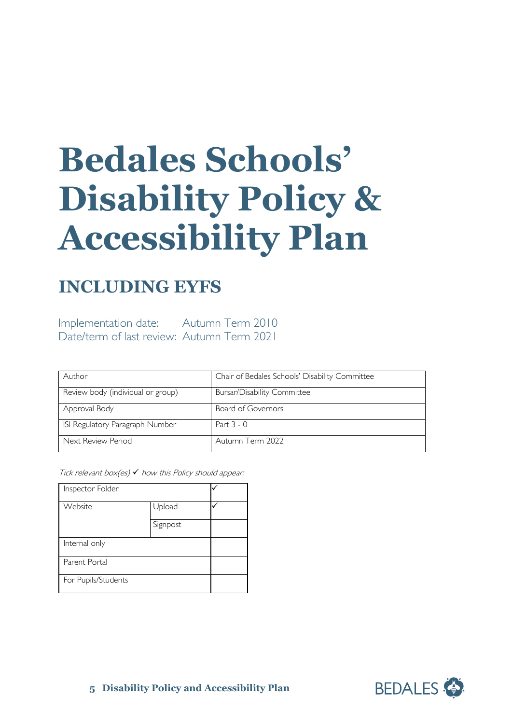# **Bedales Schools' Disability Policy & Accessibility Plan**

## **INCLUDING EYFS**

Implementation date: Autumn Term 2010 Date/term of last review: Autumn Term 2021

| Author                            | Chair of Bedales Schools' Disability Committee |
|-----------------------------------|------------------------------------------------|
| Review body (individual or group) | <b>Bursar/Disability Committee</b>             |
| Approval Body                     | Board of Governors                             |
| ISI Regulatory Paragraph Number   | Part $3 - 0$                                   |
| Next Review Period                | Autumn Term 2022                               |

Tick relevant box(es)  $\checkmark$  how this Policy should appear:

| Inspector Folder    |          |  |
|---------------------|----------|--|
| Website             | Upload   |  |
|                     | Signpost |  |
| Internal only       |          |  |
| Parent Portal       |          |  |
| For Pupils/Students |          |  |

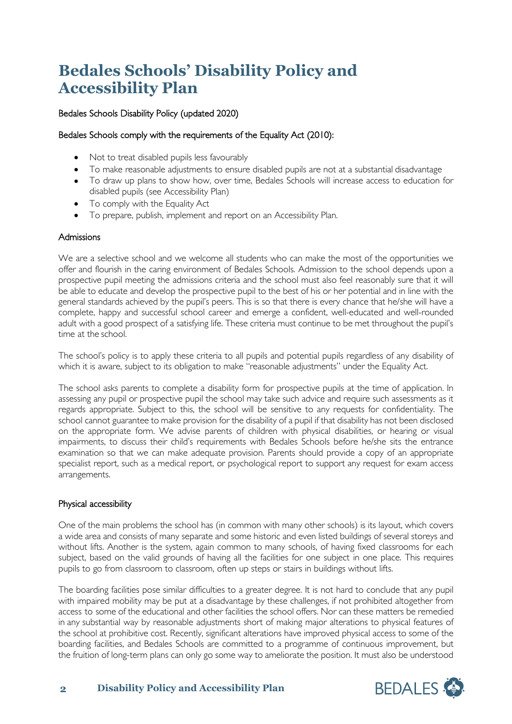## **Bedales Schools' Disability Policy and Accessibility Plan**

#### Bedales Schools Disability Policy (updated 2020)

#### Bedales Schools comply with the requirements of the Equality Act (2010):

- Not to treat disabled pupils less favourably
- To make reasonable adjustments to ensure disabled pupils are not at a substantial disadvantage
- To draw up plans to show how, over time, Bedales Schools will increase access to education for disabled pupils (see Accessibility Plan)
- To comply with the Equality Act
- To prepare, publish, implement and report on an Accessibility Plan.

#### Admissions

We are a selective school and we welcome all students who can make the most of the opportunities we offer and flourish in the caring environment of Bedales Schools. Admission to the school depends upon a prospective pupil meeting the admissions criteria and the school must also feel reasonably sure that it will be able to educate and develop the prospective pupil to the best of his or her potential and in line with the general standards achieved by the pupil's peers. This is so that there is every chance that he/she will have a complete, happy and successful school career and emerge a confident, well-educated and well-rounded adult with a good prospect of a satisfying life. These criteria must continue to be met throughout the pupil's time at the school.

The school's policy is to apply these criteria to all pupils and potential pupils regardless of any disability of which it is aware, subject to its obligation to make "reasonable adjustments" under the Equality Act.

The school asks parents to complete a disability form for prospective pupils at the time of application. In assessing any pupil or prospective pupil the school may take such advice and require such assessments as it regards appropriate. Subject to this, the school will be sensitive to any requests for confidentiality. The school cannot guarantee to make provision for the disability of a pupil if that disability has not been disclosed on the appropriate form. We advise parents of children with physical disabilities, or hearing or visual impairments, to discuss their child's requirements with Bedales Schools before he/she sits the entrance examination so that we can make adequate provision. Parents should provide a copy of an appropriate specialist report, such as a medical report, or psychological report to support any request for exam access arrangements.

#### Physical accessibility

One of the main problems the school has (in common with many other schools) is its layout, which covers a wide area and consists of many separate and some historic and even listed buildings of several storeys and without lifts. Another is the system, again common to many schools, of having fixed classrooms for each subject, based on the valid grounds of having all the facilities for one subject in one place. This requires pupils to go from classroom to classroom, often up steps or stairs in buildings without lifts.

The boarding facilities pose similar difficulties to a greater degree. It is not hard to conclude that any pupil with impaired mobility may be put at a disadvantage by these challenges, if not prohibited altogether from access to some of the educational and other facilities the school offers. Nor can these matters be remedied in any substantial way by reasonable adjustments short of making major alterations to physical features of the school at prohibitive cost. Recently, significant alterations have improved physical access to some of the boarding facilities, and Bedales Schools are committed to a programme of continuous improvement, but the fruition of long-term plans can only go some way to ameliorate the position. It must also be understood

#### **2 Disability Policy and Accessibility Plan**

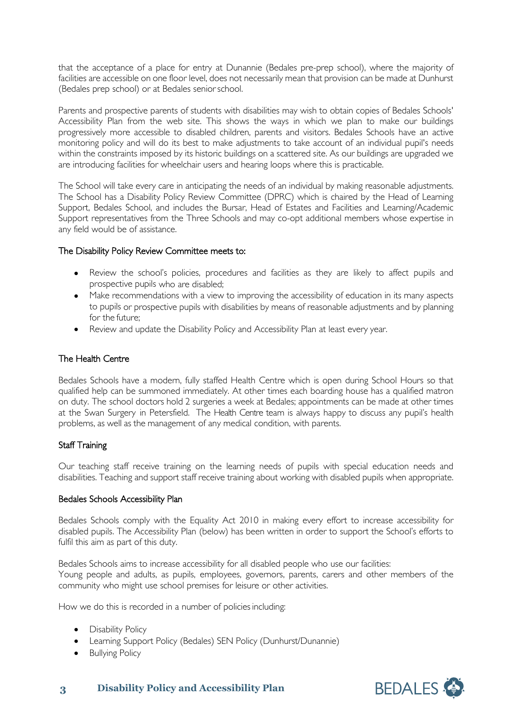that the acceptance of a place for entry at Dunannie (Bedales pre-prep school), where the majority of facilities are accessible on one floor level, does not necessarily mean that provision can be made at Dunhurst (Bedales prep school) or at Bedales seniorschool.

Parents and prospective parents of students with disabilities may wish to obtain copies of Bedales Schools' Accessibility Plan from the web site. This shows the ways in which we plan to make our buildings progressively more accessible to disabled children, parents and visitors. Bedales Schools have an active monitoring policy and will do its best to make adjustments to take account of an individual pupil's needs within the constraints imposed by its historic buildings on a scattered site. As our buildings are upgraded we are introducing facilities for wheelchair users and hearing loops where this is practicable.

The School will take every care in anticipating the needs of an individual by making reasonable adjustments. The School has a Disability Policy Review Committee (DPRC) which is chaired by the Head of Learning Support, Bedales School, and includes the Bursar, Head of Estates and Facilities and Learning/Academic Support representatives from the Three Schools and may co-opt additional members whose expertise in any field would be of assistance.

#### The Disability Policy Review Committee meets to:

- Review the school's policies, procedures and facilities as they are likely to affect pupils and prospective pupils who are disabled;
- Make recommendations with a view to improving the accessibility of education in its many aspects to pupils or prospective pupils with disabilities by means of reasonable adjustments and by planning for the future;
- Review and update the Disability Policy and Accessibility Plan at least every year.

#### The Health Centre

Bedales Schools have a modern, fully staffed Health Centre which is open during School Hours so that qualified help can be summoned immediately. At other times each boarding house has a qualified matron on duty. The school doctors hold 2 surgeries a week at Bedales; appointments can be made at other times at the Swan Surgery in Petersfield. The Health Centre team is always happy to discuss any pupil's health problems, as well as the management of any medical condition, with parents.

#### Staff Training

Our teaching staff receive training on the learning needs of pupils with special education needs and disabilities. Teaching and support staff receive training about working with disabled pupils when appropriate.

#### Bedales Schools Accessibility Plan

Bedales Schools comply with the Equality Act 2010 in making every effort to increase accessibility for disabled pupils. The Accessibility Plan (below) has been written in order to support the School's efforts to fulfil this aim as part of this duty.

Bedales Schools aims to increase accessibility for all disabled people who use our facilities: Young people and adults, as pupils, employees, governors, parents, carers and other members of the community who might use school premises for leisure or other activities.

How we do this is recorded in a number of policies including:

- Disability Policy
- Learning Support Policy (Bedales) SEN Policy (Dunhurst/Dunannie)
- Bullying Policy



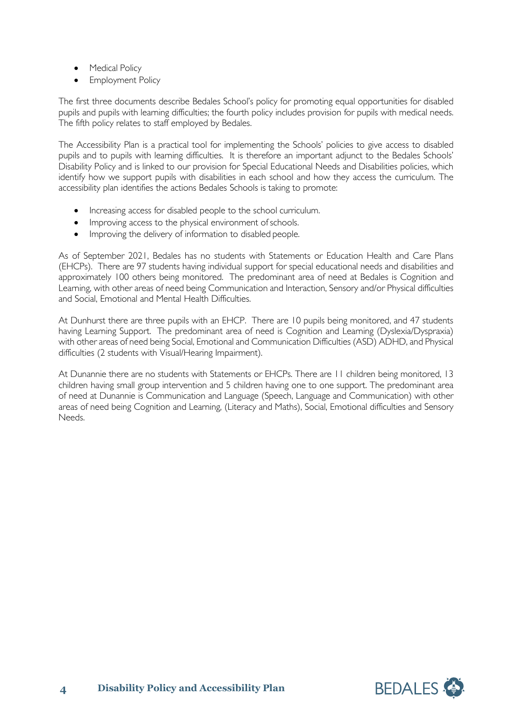- Medical Policy
- **Employment Policy**

The first three documents describe Bedales School's policy for promoting equal opportunities for disabled pupils and pupils with learning difficulties; the fourth policy includes provision for pupils with medical needs. The fifth policy relates to staff employed by Bedales.

The Accessibility Plan is a practical tool for implementing the Schools' policies to give access to disabled pupils and to pupils with learning difficulties. It is therefore an important adjunct to the Bedales Schools' Disability Policy and is linked to our provision for Special Educational Needs and Disabilities policies, which identify how we support pupils with disabilities in each school and how they access the curriculum. The accessibility plan identifies the actions Bedales Schools is taking to promote:

- Increasing access for disabled people to the school curriculum.
- Improving access to the physical environment of schools.
- Improving the delivery of information to disabled people.

As of September 2021, Bedales has no students with Statements or Education Health and Care Plans (EHCPs). There are 97 students having individual support for special educational needs and disabilities and approximately 100 others being monitored. The predominant area of need at Bedales is Cognition and Learning, with other areas of need being Communication and Interaction, Sensory and/or Physical difficulties and Social, Emotional and Mental Health Difficulties.

At Dunhurst there are three pupils with an EHCP. There are 10 pupils being monitored, and 47 students having Learning Support. The predominant area of need is Cognition and Learning (Dyslexia/Dyspraxia) with other areas of need being Social, Emotional and Communication Difficulties (ASD) ADHD, and Physical difficulties (2 students with Visual/Hearing Impairment).

At Dunannie there are no students with Statements or EHCPs. There are 11 children being monitored, 13 children having small group intervention and 5 children having one to one support. The predominant area of need at Dunannie is Communication and Language (Speech, Language and Communication) with other areas of need being Cognition and Learning, (Literacy and Maths), Social, Emotional difficulties and Sensory Needs.

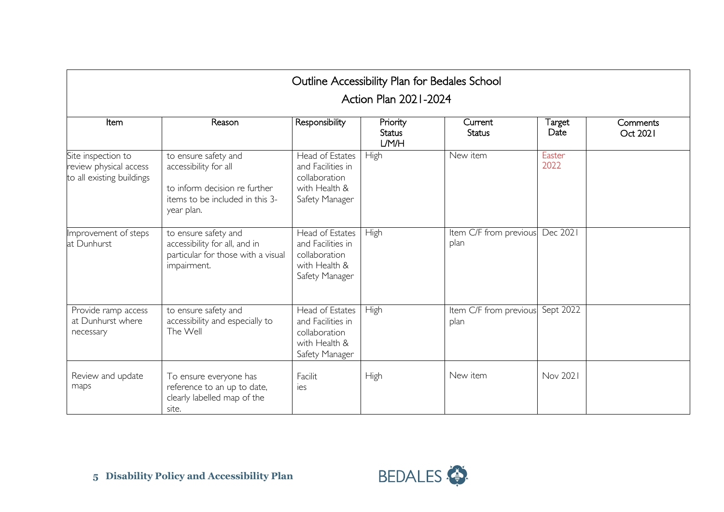| Outline Accessibility Plan for Bedales School<br>Action Plan 2021-2024    |                                                                                                                                 |                                                                                          |                                    |                                |                |                      |  |
|---------------------------------------------------------------------------|---------------------------------------------------------------------------------------------------------------------------------|------------------------------------------------------------------------------------------|------------------------------------|--------------------------------|----------------|----------------------|--|
| Item                                                                      | Reason                                                                                                                          | Responsibility                                                                           | Priority<br><b>Status</b><br>L/M/H | Current<br><b>Status</b>       | Target<br>Date | Comments<br>Oct 2021 |  |
| Site inspection to<br>review physical access<br>to all existing buildings | to ensure safety and<br>accessibility for all<br>to inform decision re further<br>items to be included in this 3-<br>year plan. | Head of Estates<br>and Facilities in<br>collaboration<br>with Health &<br>Safety Manager | High                               | New item                       | Easter<br>2022 |                      |  |
| Improvement of steps<br>at Dunhurst                                       | to ensure safety and<br>accessibility for all, and in<br>particular for those with a visual<br>impairment.                      | Head of Estates<br>and Facilities in<br>collaboration<br>with Health &<br>Safety Manager | High                               | Item C/F from previous<br>plan | Dec 2021       |                      |  |
| Provide ramp access<br>at Dunhurst where<br>necessary                     | to ensure safety and<br>accessibility and especially to<br>The Well                                                             | Head of Estates<br>and Facilities in<br>collaboration<br>with Health &<br>Safety Manager | High                               | Item C/F from previous<br>plan | Sept 2022      |                      |  |
| Review and update<br>maps                                                 | To ensure everyone has<br>reference to an up to date,<br>clearly labelled map of the<br>site.                                   | Facilit<br>ies                                                                           | High                               | New item                       | Nov 2021       |                      |  |

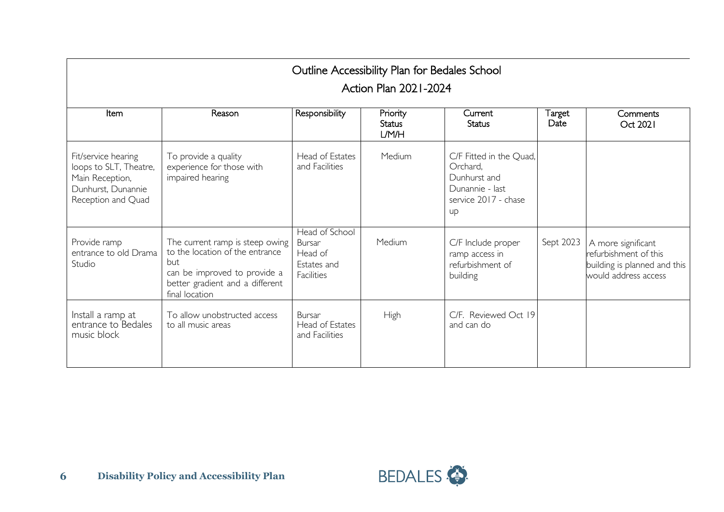| Outline Accessibility Plan for Bedales School                                                                |                                                                                                                                                                |                                                                  |                                    |                                                                                                      |                |                                                                                                     |  |  |
|--------------------------------------------------------------------------------------------------------------|----------------------------------------------------------------------------------------------------------------------------------------------------------------|------------------------------------------------------------------|------------------------------------|------------------------------------------------------------------------------------------------------|----------------|-----------------------------------------------------------------------------------------------------|--|--|
| Action Plan 2021-2024                                                                                        |                                                                                                                                                                |                                                                  |                                    |                                                                                                      |                |                                                                                                     |  |  |
| <b>Item</b>                                                                                                  | Reason                                                                                                                                                         | Responsibility                                                   | Priority<br><b>Status</b><br>L/M/H | Current<br><b>Status</b>                                                                             | Target<br>Date | Comments<br>Oct 2021                                                                                |  |  |
| Fit/service hearing<br>loops to SLT, Theatre,<br>Main Reception,<br>Dunhurst, Dunannie<br>Reception and Quad | To provide a quality<br>experience for those with<br>impaired hearing                                                                                          | Head of Estates<br>and Facilities                                | Medium                             | C/F Fitted in the Quad,<br>Orchard,<br>Dunhurst and<br>Dunannie - last<br>service 2017 - chase<br>up |                |                                                                                                     |  |  |
| Provide ramp<br>entrance to old Drama<br>Studio                                                              | The current ramp is steep owing<br>to the location of the entrance<br>but<br>can be improved to provide a<br>better gradient and a different<br>final location | Head of School<br>Bursar<br>Head of<br>Estates and<br>Facilities | Medium                             | C/F Include proper<br>ramp access in<br>refurbishment of<br>building                                 | Sept 2023      | A more significant<br>refurbishment of this<br>building is planned and this<br>would address access |  |  |
| Install a ramp at<br>entrance to Bedales<br>music block                                                      | To allow unobstructed access<br>to all music areas                                                                                                             | Bursar<br>Head of Estates<br>and Facilities                      | High                               | C/F. Reviewed Oct 19<br>and can do                                                                   |                |                                                                                                     |  |  |

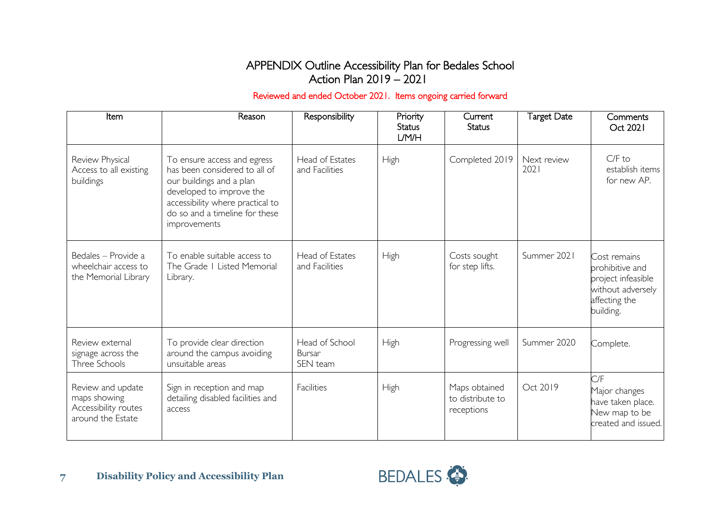### APPENDIX Outline Accessibility Plan for Bedales School Action Plan 2019 – 2021

#### Reviewed and ended October 2021. Items ongoing carried forward

| Item                                                                           | Reason                                                                                                                                                                                                     | Responsibility                              | Priority<br><b>Status</b><br>L/M/H | Current<br><b>Status</b>                        | <b>Target Date</b>  | Comments<br>Oct 2021                                                                                     |
|--------------------------------------------------------------------------------|------------------------------------------------------------------------------------------------------------------------------------------------------------------------------------------------------------|---------------------------------------------|------------------------------------|-------------------------------------------------|---------------------|----------------------------------------------------------------------------------------------------------|
| Review Physical<br>Access to all existing<br>buildings                         | To ensure access and egress<br>has been considered to all of<br>our buildings and a plan<br>developed to improve the<br>accessibility where practical to<br>do so and a timeline for these<br>improvements | Head of Estates<br>and Facilities           | High                               | Completed 2019                                  | Next review<br>2021 | $C/F$ to<br>establish items<br>for new AP.                                                               |
| Bedales - Provide a<br>wheelchair access to<br>the Memorial Library            | To enable suitable access to<br>The Grade   Listed Memorial<br>Library.                                                                                                                                    | Head of Estates<br>and Facilities           | High                               | Costs sought<br>for step lifts.                 | Summer 2021         | Cost remains<br>prohibitive and<br>project infeasible<br>without adversely<br>affecting the<br>building. |
| Review external<br>signage across the<br>Three Schools                         | To provide clear direction<br>around the campus avoiding<br>unsuitable areas                                                                                                                               | Head of School<br><b>Bursar</b><br>SEN team | High                               | Progressing well                                | Summer 2020         | Complete.                                                                                                |
| Review and update<br>maps showing<br>Accessibility routes<br>around the Estate | Sign in reception and map<br>detailing disabled facilities and<br>access                                                                                                                                   | Facilities                                  | <b>High</b>                        | Maps obtained<br>to distribute to<br>receptions | Oct 2019            | C/F<br>Major changes<br>have taken place.<br>New map to be<br>created and issued.                        |

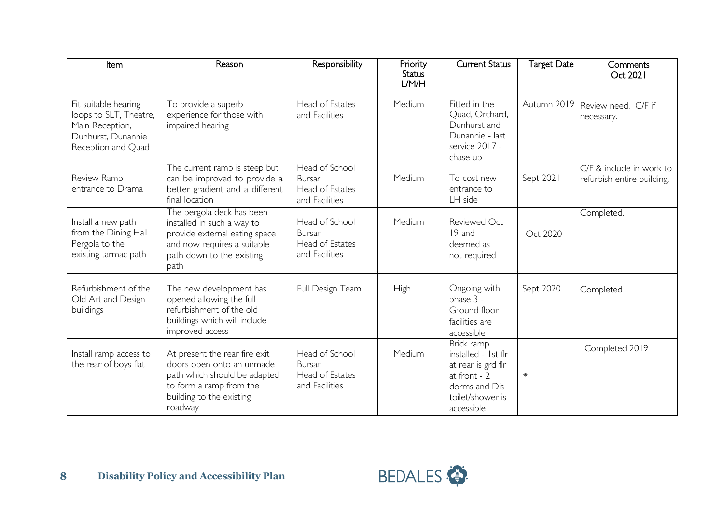| Item                                                                                                          | Reason                                                                                                                                                       | Responsibility                                                              | Priority<br><b>Status</b><br>L/M/H | <b>Current Status</b>                                                                                                      | <b>Target Date</b> | Comments<br>Oct 2021                                     |
|---------------------------------------------------------------------------------------------------------------|--------------------------------------------------------------------------------------------------------------------------------------------------------------|-----------------------------------------------------------------------------|------------------------------------|----------------------------------------------------------------------------------------------------------------------------|--------------------|----------------------------------------------------------|
| Fit suitable hearing<br>loops to SLT, Theatre,<br>Main Reception,<br>Dunhurst, Dunannie<br>Reception and Quad | To provide a superb<br>experience for those with<br>impaired hearing                                                                                         | Head of Estates<br>and Facilities                                           | Medium                             | Fitted in the<br>Quad, Orchard,<br>Dunhurst and<br>Dunannie - last<br>service 2017 -<br>chase up                           | Autumn 2019        | Review need. C/F if<br>necessary.                        |
| Review Ramp<br>entrance to Drama                                                                              | The current ramp is steep but<br>can be improved to provide a<br>better gradient and a different<br>final location                                           | <b>Head of School</b><br><b>Bursar</b><br>Head of Estates<br>and Facilities | Medium                             | To cost new<br>entrance to<br>LH side                                                                                      | Sept 2021          | $C/F$ & include in work to<br>refurbish entire building. |
| Install a new path<br>from the Dining Hall<br>Pergola to the<br>existing tarmac path                          | The pergola deck has been<br>installed in such a way to<br>provide external eating space<br>and now requires a suitable<br>path down to the existing<br>path | Head of School<br><b>Bursar</b><br>Head of Estates<br>and Facilities        | Medium                             | Reviewed Oct<br>19 and<br>deemed as<br>not required                                                                        | Oct 2020           | Completed.                                               |
| Refurbishment of the<br>Old Art and Design<br>buildings                                                       | The new development has<br>opened allowing the full<br>refurbishment of the old<br>buildings which will include<br>improved access                           | Full Design Team                                                            | <b>High</b>                        | Ongoing with<br>phase 3 -<br>Ground floor<br>facilities are<br>accessible                                                  | Sept 2020          | Completed                                                |
| Install ramp access to<br>the rear of boys flat                                                               | At present the rear fire exit<br>doors open onto an unmade<br>path which should be adapted<br>to form a ramp from the<br>building to the existing<br>roadway | Head of School<br><b>Bursar</b><br>Head of Estates<br>and Facilities        | Medium                             | Brick ramp<br>installed - 1st flr<br>at rear is grd flr<br>at front - 2<br>dorms and Dis<br>toilet/shower is<br>accessible | ₩                  | Completed 2019                                           |